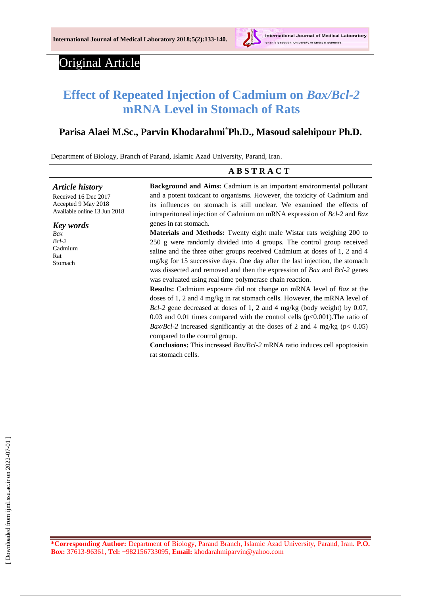

# Original Article

# **Effect of Repeated Injection of Cadmium on** *Bax/Bcl-2* **mRNA Level in Stomach of Rats**

# **Parisa Alaei M.Sc., Parvin Khodarahmi\*Ph.D., Masoud salehipour Ph.D.**

Department of Biology, Branch of Parand, Islamic Azad University, Parand, Iran.

|                                                                                                       | <b>ABSTRACT</b>                                                                                                                                                                                                                                                                                                                                                                                                                                                                                                                                                                                                                                                                                                                                                                                                                                                                                                                                                                                                                                                                                                                                                                                                                                                       |
|-------------------------------------------------------------------------------------------------------|-----------------------------------------------------------------------------------------------------------------------------------------------------------------------------------------------------------------------------------------------------------------------------------------------------------------------------------------------------------------------------------------------------------------------------------------------------------------------------------------------------------------------------------------------------------------------------------------------------------------------------------------------------------------------------------------------------------------------------------------------------------------------------------------------------------------------------------------------------------------------------------------------------------------------------------------------------------------------------------------------------------------------------------------------------------------------------------------------------------------------------------------------------------------------------------------------------------------------------------------------------------------------|
| <b>Article history</b><br>Received 16 Dec 2017<br>Accepted 9 May 2018<br>Available online 13 Jun 2018 | <b>Background and Aims:</b> Cadmium is an important environmental pollutant<br>and a potent toxicant to organisms. However, the toxicity of Cadmium and<br>its influences on stomach is still unclear. We examined the effects of<br>intraperitoneal injection of Cadmium on mRNA expression of $Bcl-2$ and $Bax$<br>genes in rat stomach.<br><b>Materials and Methods:</b> Twenty eight male Wistar rats weighing 200 to<br>250 g were randomly divided into 4 groups. The control group received<br>saline and the three other groups received Cadmium at doses of 1, 2 and 4<br>mg/kg for 15 successive days. One day after the last injection, the stomach<br>was dissected and removed and then the expression of Bax and Bcl-2 genes<br>was evaluated using real time polymerase chain reaction.<br><b>Results:</b> Cadmium exposure did not change on mRNA level of <i>Bax</i> at the<br>doses of 1, 2 and 4 mg/kg in rat stomach cells. However, the mRNA level of<br>$Bcl-2$ gene decreased at doses of 1, 2 and 4 mg/kg (body weight) by 0.07,<br>0.03 and 0.01 times compared with the control cells $(p<0.001)$ . The ratio of<br><i>Bax/Bcl-2</i> increased significantly at the doses of 2 and 4 mg/kg ( $p < 0.05$ )<br>compared to the control group. |
| <b>Key</b> words<br>Bax<br>$Bcl-2$<br>Cadmium<br>Rat<br>Stomach                                       |                                                                                                                                                                                                                                                                                                                                                                                                                                                                                                                                                                                                                                                                                                                                                                                                                                                                                                                                                                                                                                                                                                                                                                                                                                                                       |

**Conclusions:** This increased *Bax/Bcl-2* mRNA ratio induces cell apoptosisin rat stomach cells.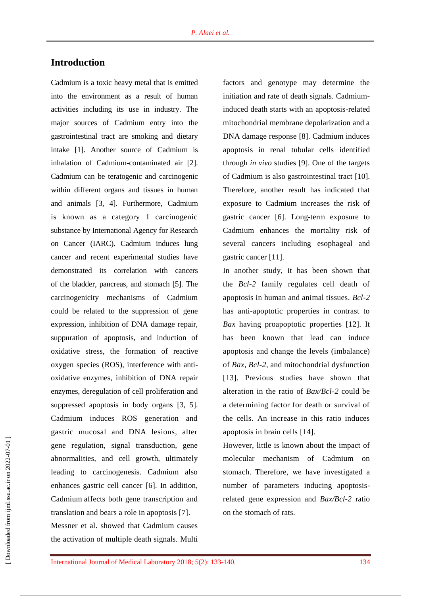# **Introduction**

Cadmium is a toxic heavy metal that is emitted into the environment as a result of human activities including its use in industry. The major sources of Cadmium entry into the gastrointestinal tract are smoking and dietary intake [1]. Another source of Cadmium is inhalation of Cadmium-contaminated air [2]. Cadmium can be teratogenic and carcinogenic within different organs and tissues in human and animals [3, 4]. Furthermore, Cadmium is known as a category 1 carcinogenic substance by International Agency for Research on Cancer (IARC). Cadmium induces lung cancer and recent experimental studies have demonstrated its correlation with cancers of the bladder, pancreas, and stomach [5]. The carcinogenicity mechanisms of Cadmium could be related to the suppression of gene expression, inhibition of DNA damage repair, suppuration of apoptosis, and induction of oxidative stress, the formation of reactive oxygen species (ROS), interference with antioxidative enzymes, inhibition of DNA repair enzymes, deregulation of cell proliferation and suppressed apoptosis in body organs [3, 5]. Cadmium induces ROS generation and gastric mucosal and DNA lesions, alter gene regulation, signal transduction, gene abnormalities, and cell growth, ultimately leading to carcinogenesis. Cadmium also enhances gastric cell cancer [6]. In addition, Cadmium affects both gene transcription and translation and bears a role in apoptosis [7]. Messner et al. showed that Cadmium causes the activation of multiple death signals. Multi

factors and genotype may determine the initiation and rate of death signals. Cadmiuminduced death starts with an apoptosis-related mitochondrial membrane depolarization and a DNA damage response [8]. Cadmium induces apoptosis in renal tubular cells identified through *in vivo* studies [9]. One of the targets of Cadmium is also gastrointestinal tract [10]. Therefore, another result has indicated that exposure to Cadmium increases the risk of gastric cancer [6]. Long-term exposure to Cadmium enhances the mortality risk of several cancers including esophageal and gastric cancer [11].

In another study, it has been shown that the *Bcl-2* family regulates cell death of apoptosis in human and animal tissues. *Bcl-2* has anti-apoptotic properties in contrast to *Bax* having proapoptotic properties [12]. It has been known that lead can induce apoptosis and change the levels (imbalance) of *Bax, Bcl-2*, and mitochondrial dysfunction [13]. Previous studies have shown that alteration in the ratio of *Bax/Bcl-2* could be a determining factor for death or survival of the cells. An increase in this ratio induces apoptosis in brain cells [14].

However, little is known about the impact of molecular mechanism of Cadmium stomach. Therefore, we have investigated a number of parameters inducing apoptosisrelated gene expression and *Bax/Bcl-2* ratio on the stomach of rats.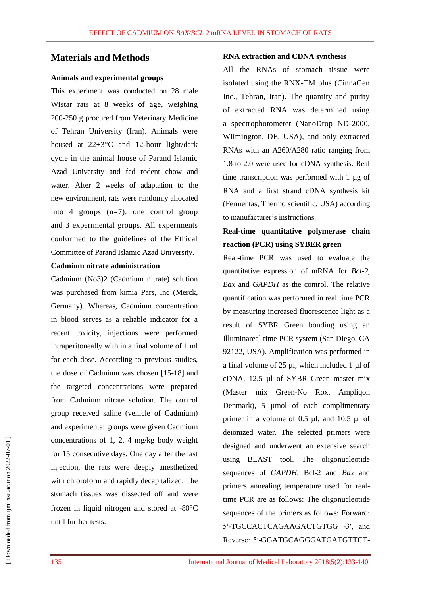### **Materials and Methods**

#### **Animals and experimental groups**

This experiment was conducted on 28 male Wistar rats at 8 weeks of age, weighing 200-250 g procured from Veterinary Medicine of Tehran University (Iran). Animals were housed at  $22\pm3$ °C and 12-hour light/dark cycle in the animal house of Parand Islamic Azad University and fed rodent chow and water. After 2 weeks of adaptation to the new environment, rats were randomly allocated into 4 groups (n=7): one control group and 3 experimental groups. All experiments conformed to the guidelines of the Ethical Committee of Parand Islamic Azad University.

#### **Cadmium nitrate administration**

Cadmium (No3)2 (Cadmium nitrate) solution was purchased from kimia Pars, Inc (Merck, Germany). Whereas, Cadmium concentration in blood serves as a reliable indicator for a recent toxicity, injections were performed intraperitoneally with in a final volume of 1 ml for each dose. According to previous studies, the dose of Cadmium was chosen [15-18] and the targeted concentrations were prepared from Cadmium nitrate solution. The control group received saline (vehicle of Cadmium) and experimental groups were given Cadmium concentrations of 1, 2, 4 mg/kg body weight for 15 consecutive days. One day after the last injection, the rats were deeply anesthetized with chloroform and rapidly decapitalized. The stomach tissues was dissected off and were frozen in liquid nitrogen and stored at  $-80^{\circ}$ C until further tests.

#### **RNA extraction and CDNA synthesis**

All the RNAs of stomach tissue were isolated using the RNX-TM plus (CinnaGen Inc., Tehran, Iran). The quantity and purity of extracted RNA was determined using a spectrophotometer (NanoDrop ND-2000, Wilmington, DE, USA), and only extracted RNAs with an A260/A280 ratio ranging from 1.8 to 2.0 were used for cDNA synthesis. Real time transcription was performed with 1 µg of RNA and a first strand cDNA synthesis kit (Fermentas, Thermo scientific, USA) according to manufacturer's instructions.

# **Real-time quantitative polymerase chain reaction (PCR) using SYBER green**

Real-time PCR was used to evaluate the quantitative expression of mRNA for *Bcl-2, Bax* and *GAPDH* as the control. The relative quantification was performed in real time PCR by measuring increased fluorescence light as a result of SYBR Green bonding using an Illuminareal time PCR system (San Diego, CA 92122, USA). Amplification was performed in a final volume of  $25 \mu l$ , which included 1  $\mu l$  of cDNA, 12.5 µl of SYBR Green master mix (Master mix Green-No Rox, Ampliqon Denmark), 5 µmol of each complimentary primer in a volume of 0.5 µl, and 10.5 µl of deionized water. The selected primers were designed and underwent an extensive search using BLAST tool. The oligonucleotide sequences of *GAPDH*, Bcl-2 and *Bax* and primers annealing temperature used for realtime PCR are as follows: The oligonucleotide sequences of the primers as follows: Forward: 5′-TGCCACTCAGAAGACTGTGG -3′, and Reverse: 5′-GGATGCAGGGATGATGTTCT-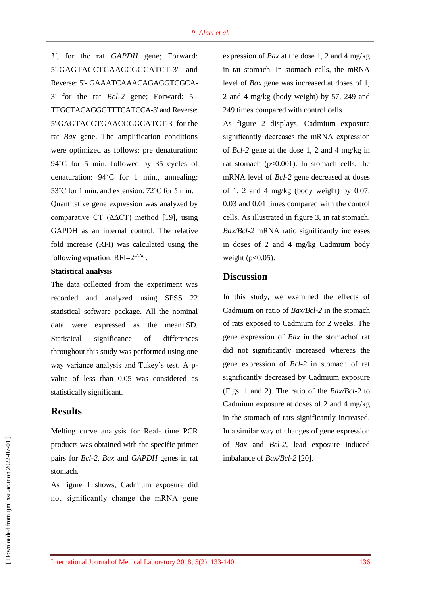3′, for the rat *GAPDH* gene; Forward: 5'-GAGTACCTGAACCGGCATCT-3' and Reverse: 5'- GAAATCAAACAGAGGTCGCA-3' for the rat *Bcl-2* gene; Forward: 5'- TTGCTACAGGGTTTCATCCA-3' and Reverse: 5'-GAGTACCTGAACCGGCATCT-3' for the rat *Bax* gene. The amplification conditions were optimized as follows: pre denaturation: 94˚C for 5 min. followed by 35 cycles of denaturation: 94˚C for 1 min., annealing: 53˚C for 1 min. and extension: 72˚C for 5 min. Quantitative gene expression was analyzed by comparative CT (∆∆CT) method [19], using GAPDH as an internal control. The relative fold increase (RFI) was calculated using the following equation:  $RFI=2^{-\Delta\Delta ct}$ .

### **Statistical analysis**

The data collected from the experiment was recorded and analyzed using SPSS 22 statistical software package. All the nominal data were expressed as the mean±SD. Statistical significance of differences throughout this study was performed using one way variance analysis and Tukey's test. A pvalue of less than 0.05 was considered as statistically significant.

### **Results**

Melting curve analysis for Real- time PCR products was obtained with the specific primer pairs for *Bcl-2, Bax* and *GAPDH* genes in rat stomach.

As figure 1 shows, Cadmium exposure did not significantly change the mRNA gene expression of *Bax* at the dose 1, 2 and 4 mg/kg in rat stomach. In stomach cells, the mRNA level of *Bax* gene was increased at doses of 1, 2 and 4 mg/kg (body weight) by 57, 249 and 249 times compared with control cells.

As figure 2 displays, Cadmium exposure significantly decreases the mRNA expression of *Bcl-2* gene at the dose 1, 2 and 4 mg/kg in rat stomach (p<0.001). In stomach cells, the mRNA level of *Bcl-2* gene decreased at doses of 1, 2 and 4 mg/kg (body weight) by  $0.07$ , 0.03 and 0.01 times compared with the control cells. As illustrated in figure 3, in rat stomach, *Bax/Bcl-2* mRNA ratio significantly increases in doses of 2 and 4 mg/kg Cadmium body weight  $(p<0.05)$ .

# **Discussion**

In this study, we examined the effects of Cadmium on ratio of *Bax/Bcl-2* in the stomach of rats exposed to Cadmium for 2 weeks. The gene expression of *Bax* in the stomachof rat did not significantly increased whereas the gene expression of *Bcl-2* in stomach of rat significantly decreased by Cadmium exposure (Figs. 1 and 2). The ratio of the *Bax/Bcl-2* to Cadmium exposure at doses of 2 and 4 mg/kg in the stomach of rats significantly increased. In a similar way of changes of gene expression of *Bax* and *Bcl-2*, lead exposure induced imbalance of *Bax/Bcl-2* [20].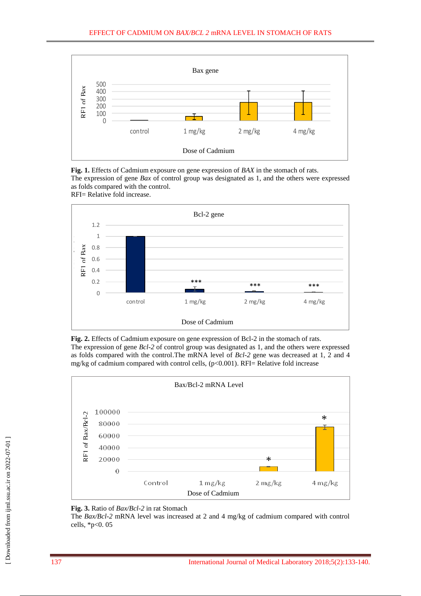

**Fig. 1.** Effects of Cadmium exposure on gene expression of *BAX* in the stomach of rats. The expression of gene *Bax* of control group was designated as 1, and the others were expressed as folds compared with the control. RFI= Relative fold increase.







**Fig. 3.** Ratio of *Bax/Bcl-2* in rat Stomach

The *Bax/Bcl-2* mRNA level was increased at 2 and 4 mg/kg of cadmium compared with control cells, \*p<0. 05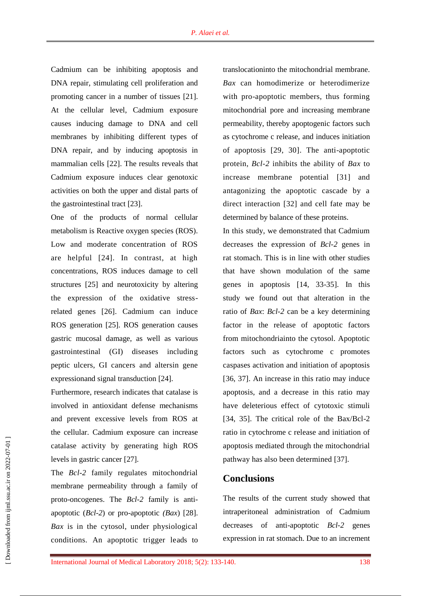Cadmium can be inhibiting apoptosis and DNA repair, stimulating cell proliferation and promoting cancer in a number of tissues [21]. At the cellular level, Cadmium exposure causes inducing damage to DNA and cell membranes by inhibiting different types of DNA repair, and by inducing apoptosis in mammalian cells [22]. The results reveals that Cadmium exposure induces clear genotoxic activities on both the upper and distal parts of the gastrointestinal tract [23].

One of the products of normal cellular metabolism is Reactive oxygen species (ROS). Low and moderate concentration of ROS are helpful [24]. In contrast, at high concentrations, ROS induces damage to cell structures [25] and neurotoxicity by altering the expression of the oxidative stressrelated genes [26]. Cadmium can induce ROS generation [25]. ROS generation causes gastric mucosal damage, as well as various gastrointestinal (GI) diseases including peptic ulcers, GI cancers and altersin gene expressionand signal transduction [24].

Furthermore, research indicates that catalase is involved in antioxidant defense mechanisms and prevent excessive levels from ROS at the cellular. Cadmium exposure can increase catalase activity by generating high ROS levels in gastric cancer [27].

The *Bcl-2* family regulates mitochondrial membrane permeability through a family of proto-oncogenes. The *Bcl-2* family is antiapoptotic (*Bcl-2*) or pro-apoptotic *(Bax*) [28]. *Bax* is in the cytosol, under physiological conditions. An apoptotic trigger leads to

translocationinto the mitochondrial membrane. *Bax* can homodimerize or heterodimerize with pro-apoptotic members, thus forming mitochondrial pore and increasing membrane permeability, thereby apoptogenic factors such as cytochrome c release, and induces initiation of apoptosis [29, 30]. The anti-apoptotic protein, *Bcl-2* inhibits the ability of *Bax* to increase membrane potential [31] and antagonizing the apoptotic cascade by a direct interaction [32] and cell fate may be determined by balance of these proteins.

In this study, we demonstrated that Cadmium decreases the expression of *Bcl-2* genes in rat stomach. This is in line with other studies that have shown modulation of the same genes in apoptosis [14, 33-35]. In this study we found out that alteration in the ratio of *Bax*: *Bcl-2* can be a key determining factor in the release of apoptotic factors from mitochondriainto the cytosol. Apoptotic factors such as cytochrome c promotes caspases activation and initiation of apoptosis [36, 37]. An increase in this ratio may induce apoptosis, and a decrease in this ratio may have deleterious effect of cytotoxic stimuli [34, 35]. The critical role of the Bax/Bcl-2 ratio in cytochrome c release and initiation of apoptosis mediated through the mitochondrial pathway has also been determined [37].

## **Conclusions**

The results of the current study showed that intraperitoneal administration of Cadmium decreases of anti-apoptotic *Bcl-2* genes expression in rat stomach. Due to an increment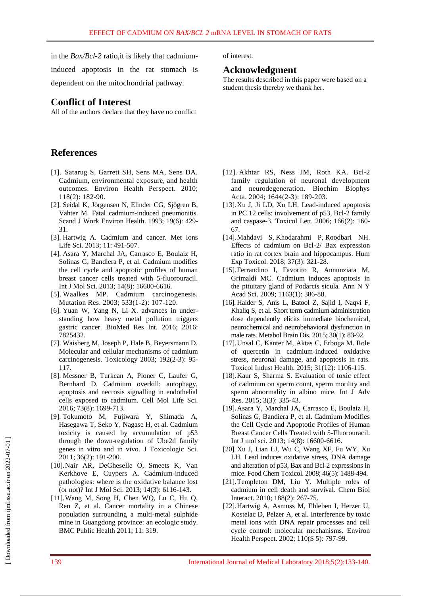in the *Bax/Bcl-2* ratio,it is likely that cadmium-

induced apoptosis in the rat stomach is dependent on the mitochondrial pathway.

# **Conflict of Interest**

All of the authors declare that they have no conflict

# **References**

- [1]. Satarug S, Garrett SH, Sens MA, Sens DA. Cadmium, environmental exposure, and health outcomes. Environ Health Perspect. 2010; 118(2): 182-90.
- [2]. Seidal K, Jörgensen N, Elinder CG, Sjögren B, Vahter M. Fatal cadmium-induced pneumonitis. Scand J Work Environ Health. 1993; 19(6): 429- 31.
- [3]. Hartwig A. Cadmium and cancer. [Met Ions](https://www.ncbi.nlm.nih.gov/pubmed/?term=Hartwig+A.+Cadmium+and+cancer.+Metal+ions+in+life+sciences)  [Life Sci.](https://www.ncbi.nlm.nih.gov/pubmed/?term=Hartwig+A.+Cadmium+and+cancer.+Metal+ions+in+life+sciences) 2013; 11: 491-507.
- [4]. Asara Y, Marchal JA, Carrasco E, Boulaiz H, Solinas G, Bandiera P, et al. Cadmium modifies the cell cycle and apoptotic profiles of human breast cancer cells treated with 5-fluorouracil. Int J Mol Sci. 2013; 14(8): 16600-6616.
- [5]. Waalkes MP. Cadmium carcinogenesis. Mutation Res. 2003; 533(1-2): 107-120.
- [6]. Yuan W, Yang N, Li X. advances in understanding how heavy metal pollution triggers gastric cancer. BioMed Res Int. 2016; 2016: 7825432.
- [7]. Waisberg M, Joseph P, Hale B, Beyersmann D. Molecular and cellular mechanisms of cadmium carcinogenesis. Toxicology 2003; 192(2-3): 95- 117.
- [8]. Messner B, Turkcan A, Ploner C, Laufer G, Bernhard D. Cadmium overkill: autophagy, apoptosis and necrosis signalling in endothelial cells exposed to cadmium. Cell Mol Life Sci. 2016; 73(8): 1699-713.
- [9]. Tokumoto M, Fujiwara Y, Shimada A, Hasegawa T, Seko Y, Nagase H, et al. Cadmium toxicity is caused by accumulation of p53 through the down-regulation of Ube2d family genes in vitro and in vivo. J Toxicologic Sci. 2011; 36(2): 191-200.
- [10].Nair AR, DeGheselle O, Smeets K, Van Kerkhove E, Cuypers A. Cadmium-induced pathologies: where is the oxidative balance lost (or not)? Int J Mol Sci. 2013; 14(3): 6116-143.
- [11].Wang M, Song H, Chen WQ, Lu C, Hu Q, Ren Z, et al. Cancer mortality in a Chinese population surrounding a multi-metal sulphide mine in Guangdong province: an ecologic study. BMC Public Health 2011; 11: 319.

of interest.

## **Acknowledgment**

The results described in this paper were based on a student thesis thereby we thank her.

- [12]. Akhtar RS, Ness JM, Roth KA. Bcl-2 family regulation of neuronal development and neurodegeneration. Biochim Biophys Acta. 2004; 1644(2-3): 189-203.
- [13].Xu J, Ji LD, Xu LH. Lead-induced apoptosis in PC 12 cells: involvement of p53, Bcl-2 family and caspase-3. Toxicol Lett. 2006; 166(2): 160- 67.
- [14].Mahdavi S, Khodarahmi P, Roodbari NH. Effects of cadmium on Bcl-2/ Bax expression ratio in rat cortex brain and hippocampus. Hum Exp Toxicol. 2018; 37(3): 321-28.
- [15].Ferrandino I, Favorito R, Annunziata M, Grimaldi MC. Cadmium induces apoptosis in the pituitary gland of Podarcis sicula. [Ann N Y](https://www.ncbi.nlm.nih.gov/pubmed/?term=Cadmium+induces+apoptosis+in+the+pituitary+gland+of+Podarcis+sicula.)  [Acad Sci.](https://www.ncbi.nlm.nih.gov/pubmed/?term=Cadmium+induces+apoptosis+in+the+pituitary+gland+of+Podarcis+sicula.) 2009; 1163(1): 386-88.
- [16]. Haider S, Anis L, Batool Z, Sajid I, Naqvi F, Khaliq S, et al. Short term cadmium administration dose dependently elicits immediate biochemical, neurochemical and neurobehavioral dysfunction in male rats. Metabol Brain Dis. 2015; 30(1): 83-92.
- [17].Unsal C, Kanter M, Aktas C, Erboga M. Role of quercetin in cadmium-induced oxidative stress, neuronal damage, and apoptosis in rats. Toxicol Indust Health. 2015; 31(12): 1106-115.
- [18].Kaur S, Sharma S. Evaluation of toxic effect of cadmium on sperm count, sperm motility and sperm abnormality in albino mice. Int J Adv Res. 2015; 3(3): 335-43.
- [19].Asara Y, Marchal JA, Carrasco E, Boulaiz H, Solinas G, Bandiera P, et al. Cadmium Modifies the Cell Cycle and Apoptotic Profiles of Human Breast Cancer Cells Treated with 5-Fluorouracil. Int J mol sci. 2013; 14(8): 16600-6616.
- [20]. Xu J, Lian LJ, Wu C, Wang XF, Fu WY, Xu LH. Lead induces oxidative stress, DNA damage and alteration of p53, Bax and Bcl-2 expressions in mice. Food Chem Toxicol. 2008; 46(5): 1488-494.
- [21].Templeton DM, Liu Y. Multiple roles of cadmium in cell death and survival. Chem Biol Interact. 2010; 188(2): 267-75.
- [22].Hartwig A, Asmuss M, Ehleben I, Herzer U, Kostelac D, Pelzer A, et al. Interference by toxic metal ions with DNA repair processes and cell cycle control: molecular mechanisms. Environ Health Perspect. 2002; 110(S 5): 797-99.